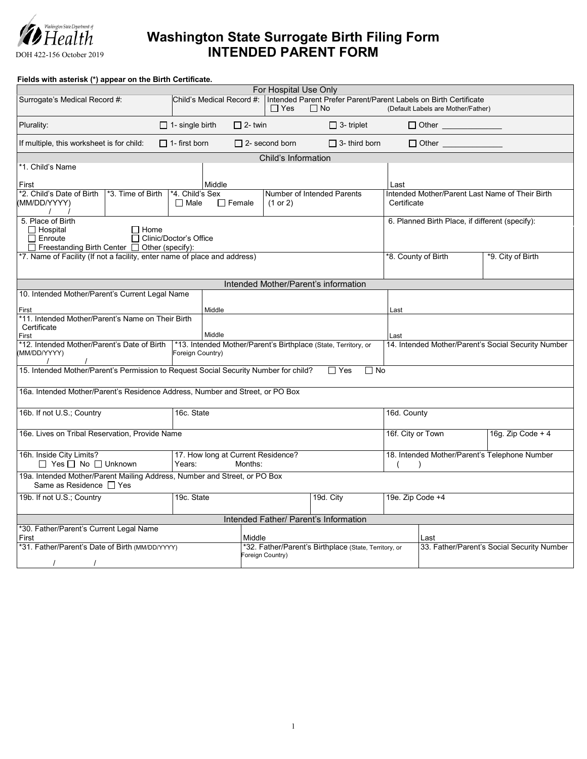

## **Washington State Surrogate Birth Filing Form INTENDED PARENT FORM**

**Fields with asterisk (\*) appear on the Birth Certificate.**

| For Hospital Use Only                                                                                                                               |                                                                                    |                       |                                                                               |                                               |                                                     |                                                 |  |  |
|-----------------------------------------------------------------------------------------------------------------------------------------------------|------------------------------------------------------------------------------------|-----------------------|-------------------------------------------------------------------------------|-----------------------------------------------|-----------------------------------------------------|-------------------------------------------------|--|--|
| Surrogate's Medical Record #:                                                                                                                       | Child's Medical Record #:                                                          | $\Box$ Yes            | Intended Parent Prefer Parent/Parent Labels on Birth Certificate<br>$\Box$ No |                                               | (Default Labels are Mother/Father)                  |                                                 |  |  |
| Plurality:                                                                                                                                          | $\Box$ 1- single birth                                                             | $\Box$ 2- twin        | $\Box$ 3- triplet                                                             |                                               | □ Other _______________                             |                                                 |  |  |
| If multiple, this worksheet is for child:                                                                                                           | $\Box$ 1- first born                                                               | $\Box$ 2- second born | $\Box$ 3- third born                                                          |                                               | $\Box$ Other                                        |                                                 |  |  |
|                                                                                                                                                     |                                                                                    | Child's Information   |                                                                               |                                               |                                                     |                                                 |  |  |
| *1. Child's Name<br>First                                                                                                                           | Middle                                                                             |                       |                                                                               | Last                                          |                                                     |                                                 |  |  |
| *2. Child's Date of Birth<br>*3. Time of Birth<br>(MM/DD/YYYY)                                                                                      | *4. Child's Sex<br>$\Box$ Female<br>$\Box$ Male                                    | (1 or 2)              | Number of Intended Parents                                                    | Certificate                                   |                                                     | Intended Mother/Parent Last Name of Their Birth |  |  |
| 5. Place of Birth<br>$\Box$ Hospital<br>$\Box$ Home<br>$\Box$ Enroute<br>□ Clinic/Doctor's Office<br>□ Freestanding Birth Center □ Other (specify): |                                                                                    |                       |                                                                               |                                               | 6. Planned Birth Place, if different (specify):     |                                                 |  |  |
| *7. Name of Facility (If not a facility, enter name of place and address)                                                                           | *8. County of Birth<br>*9. City of Birth                                           |                       |                                                                               |                                               |                                                     |                                                 |  |  |
|                                                                                                                                                     |                                                                                    |                       | Intended Mother/Parent's information                                          |                                               |                                                     |                                                 |  |  |
| 10. Intended Mother/Parent's Current Legal Name                                                                                                     |                                                                                    |                       |                                                                               |                                               |                                                     |                                                 |  |  |
|                                                                                                                                                     |                                                                                    |                       |                                                                               |                                               |                                                     |                                                 |  |  |
| First                                                                                                                                               | Middle                                                                             |                       |                                                                               | Last                                          |                                                     |                                                 |  |  |
| *11. Intended Mother/Parent's Name on Their Birth                                                                                                   |                                                                                    |                       |                                                                               |                                               |                                                     |                                                 |  |  |
| Certificate<br>First                                                                                                                                | Middle                                                                             |                       |                                                                               | Last                                          |                                                     |                                                 |  |  |
| *12. Intended Mother/Parent's Date of Birth                                                                                                         |                                                                                    |                       |                                                                               |                                               |                                                     |                                                 |  |  |
| (MM/DD/YYYY)                                                                                                                                        | *13. Intended Mother/Parent's Birthplace (State, Territory, or<br>Foreign Country) |                       |                                                                               |                                               | 14. Intended Mother/Parent's Social Security Number |                                                 |  |  |
| 15. Intended Mother/Parent's Permission to Request Social Security Number for child?<br>$\Box$ Yes<br>$\Box$ No                                     |                                                                                    |                       |                                                                               |                                               |                                                     |                                                 |  |  |
| 16a. Intended Mother/Parent's Residence Address, Number and Street, or PO Box                                                                       |                                                                                    |                       |                                                                               |                                               |                                                     |                                                 |  |  |
| 16b. If not U.S.; Country<br>16c. State                                                                                                             |                                                                                    |                       |                                                                               | 16d. County                                   |                                                     |                                                 |  |  |
| 16e. Lives on Tribal Reservation, Provide Name                                                                                                      |                                                                                    |                       |                                                                               |                                               | 16f. City or Town                                   | 16g. Zip Code + $4$                             |  |  |
| 16h. Inside City Limits?<br>$\Box$ Yes $\Box$ No $\Box$ Unknown                                                                                     | 17. How long at Current Residence?<br>Months:<br>Years:                            |                       |                                                                               | 18. Intended Mother/Parent's Telephone Number |                                                     |                                                 |  |  |
| 19a. Intended Mother/Parent Mailing Address, Number and Street, or PO Box<br>Same as Residence □ Yes                                                |                                                                                    |                       |                                                                               |                                               |                                                     |                                                 |  |  |
| 19b. If not U.S.; Country                                                                                                                           | 19c. State<br>19d. City                                                            |                       |                                                                               | 19e. Zip Code +4                              |                                                     |                                                 |  |  |
| Intended Father/ Parent's Information                                                                                                               |                                                                                    |                       |                                                                               |                                               |                                                     |                                                 |  |  |
| *30. Father/Parent's Current Legal Name<br>First<br>Middle                                                                                          |                                                                                    |                       |                                                                               |                                               | Last                                                |                                                 |  |  |
| *31. Father/Parent's Date of Birth (MM/DD/YYYY)<br>*32. Father/Parent's Birthplace (State, Territory, or<br>Foreign Country)                        |                                                                                    |                       |                                                                               | 33. Father/Parent's Social Security Number    |                                                     |                                                 |  |  |
| $\sqrt{2}$                                                                                                                                          |                                                                                    |                       |                                                                               |                                               |                                                     |                                                 |  |  |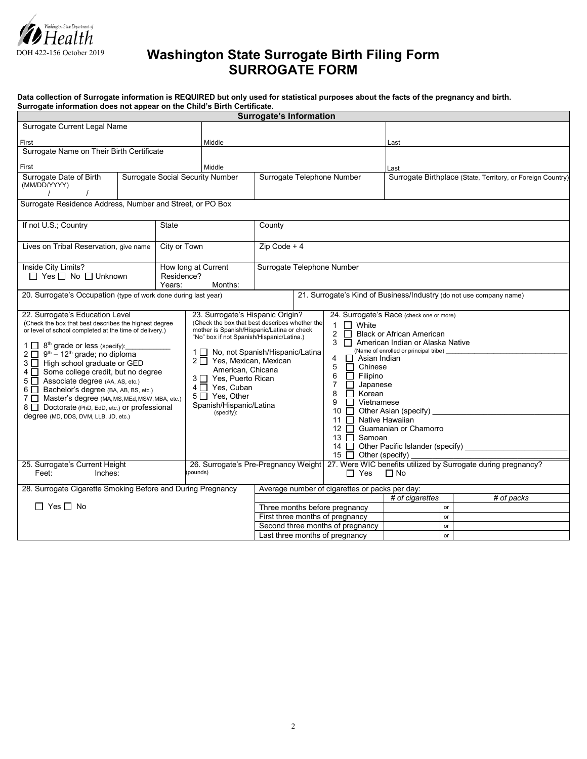

## **Washington State Surrogate Birth Filing Form SURROGATE FORM**

| Data collection of Surrogate information is REQUIRED but only used for statistical purposes about the facts of the pregnancy and birth. |  |
|-----------------------------------------------------------------------------------------------------------------------------------------|--|
| Surrogate information does not appear on the Child's Birth Certificate.                                                                 |  |

|                                                                                                                                                                                                                                                                                                                                                                                                                                                                                                                                                 |  |                                         |                                                                                                                                                                                                                                                                                                                                                                                | <b>Surrogate's Information</b>                                                                                                |  |                                                                                                                                                                                                                                                                                                          |                                                                                                                                                                                                              |    |                                                 |  |
|-------------------------------------------------------------------------------------------------------------------------------------------------------------------------------------------------------------------------------------------------------------------------------------------------------------------------------------------------------------------------------------------------------------------------------------------------------------------------------------------------------------------------------------------------|--|-----------------------------------------|--------------------------------------------------------------------------------------------------------------------------------------------------------------------------------------------------------------------------------------------------------------------------------------------------------------------------------------------------------------------------------|-------------------------------------------------------------------------------------------------------------------------------|--|----------------------------------------------------------------------------------------------------------------------------------------------------------------------------------------------------------------------------------------------------------------------------------------------------------|--------------------------------------------------------------------------------------------------------------------------------------------------------------------------------------------------------------|----|-------------------------------------------------|--|
| Surrogate Current Legal Name                                                                                                                                                                                                                                                                                                                                                                                                                                                                                                                    |  |                                         |                                                                                                                                                                                                                                                                                                                                                                                |                                                                                                                               |  |                                                                                                                                                                                                                                                                                                          |                                                                                                                                                                                                              |    |                                                 |  |
| <b>First</b>                                                                                                                                                                                                                                                                                                                                                                                                                                                                                                                                    |  |                                         | Middle                                                                                                                                                                                                                                                                                                                                                                         |                                                                                                                               |  |                                                                                                                                                                                                                                                                                                          | Last                                                                                                                                                                                                         |    |                                                 |  |
| Surrogate Name on Their Birth Certificate                                                                                                                                                                                                                                                                                                                                                                                                                                                                                                       |  |                                         |                                                                                                                                                                                                                                                                                                                                                                                |                                                                                                                               |  |                                                                                                                                                                                                                                                                                                          |                                                                                                                                                                                                              |    |                                                 |  |
| First                                                                                                                                                                                                                                                                                                                                                                                                                                                                                                                                           |  | Middle                                  |                                                                                                                                                                                                                                                                                                                                                                                |                                                                                                                               |  | Last                                                                                                                                                                                                                                                                                                     |                                                                                                                                                                                                              |    |                                                 |  |
| Surrogate Date of Birth                                                                                                                                                                                                                                                                                                                                                                                                                                                                                                                         |  | <b>Surrogate Social Security Number</b> |                                                                                                                                                                                                                                                                                                                                                                                | Surrogate Telephone Number                                                                                                    |  | Surrogate Birthplace (State, Territory, or Foreign Country)                                                                                                                                                                                                                                              |                                                                                                                                                                                                              |    |                                                 |  |
| (MM/DD/YYYY)                                                                                                                                                                                                                                                                                                                                                                                                                                                                                                                                    |  |                                         |                                                                                                                                                                                                                                                                                                                                                                                |                                                                                                                               |  |                                                                                                                                                                                                                                                                                                          |                                                                                                                                                                                                              |    |                                                 |  |
| $\prime$<br>Surrogate Residence Address, Number and Street, or PO Box                                                                                                                                                                                                                                                                                                                                                                                                                                                                           |  |                                         |                                                                                                                                                                                                                                                                                                                                                                                |                                                                                                                               |  |                                                                                                                                                                                                                                                                                                          |                                                                                                                                                                                                              |    |                                                 |  |
|                                                                                                                                                                                                                                                                                                                                                                                                                                                                                                                                                 |  |                                         |                                                                                                                                                                                                                                                                                                                                                                                |                                                                                                                               |  |                                                                                                                                                                                                                                                                                                          |                                                                                                                                                                                                              |    |                                                 |  |
| If not U.S.; Country<br>State                                                                                                                                                                                                                                                                                                                                                                                                                                                                                                                   |  | County                                  |                                                                                                                                                                                                                                                                                                                                                                                |                                                                                                                               |  |                                                                                                                                                                                                                                                                                                          |                                                                                                                                                                                                              |    |                                                 |  |
|                                                                                                                                                                                                                                                                                                                                                                                                                                                                                                                                                 |  |                                         |                                                                                                                                                                                                                                                                                                                                                                                |                                                                                                                               |  |                                                                                                                                                                                                                                                                                                          |                                                                                                                                                                                                              |    |                                                 |  |
| Lives on Tribal Reservation, give name                                                                                                                                                                                                                                                                                                                                                                                                                                                                                                          |  |                                         | City or Town<br>$Zip Code + 4$                                                                                                                                                                                                                                                                                                                                                 |                                                                                                                               |  |                                                                                                                                                                                                                                                                                                          |                                                                                                                                                                                                              |    |                                                 |  |
| Inside City Limits?                                                                                                                                                                                                                                                                                                                                                                                                                                                                                                                             |  | How long at Current                     | Surrogate Telephone Number                                                                                                                                                                                                                                                                                                                                                     |                                                                                                                               |  |                                                                                                                                                                                                                                                                                                          |                                                                                                                                                                                                              |    |                                                 |  |
| $\Box$ Yes $\Box$ No $\Box$ Unknown<br>Residence?                                                                                                                                                                                                                                                                                                                                                                                                                                                                                               |  |                                         |                                                                                                                                                                                                                                                                                                                                                                                |                                                                                                                               |  |                                                                                                                                                                                                                                                                                                          |                                                                                                                                                                                                              |    |                                                 |  |
| Years:<br>20. Surrogate's Occupation (type of work done during last year)                                                                                                                                                                                                                                                                                                                                                                                                                                                                       |  |                                         | Months:                                                                                                                                                                                                                                                                                                                                                                        | 21. Surrogate's Kind of Business/Industry (do not use company name)                                                           |  |                                                                                                                                                                                                                                                                                                          |                                                                                                                                                                                                              |    |                                                 |  |
|                                                                                                                                                                                                                                                                                                                                                                                                                                                                                                                                                 |  |                                         |                                                                                                                                                                                                                                                                                                                                                                                |                                                                                                                               |  |                                                                                                                                                                                                                                                                                                          |                                                                                                                                                                                                              |    |                                                 |  |
| 22. Surrogate's Education Level<br>(Check the box that best describes the highest degree<br>or level of school completed at the time of delivery.)<br>$2 \square$ 9 <sup>th</sup> – 12 <sup>th</sup> grade; no diploma<br>3   High school graduate or GED<br>4 Some college credit, but no degree<br>5   Associate degree (AA, AS, etc.)<br>6   Bachelor's degree (BA, AB, BS, etc.)<br>7 Master's degree (MA, MS, MEd, MSW, MBA, etc.)<br>8   Doctorate (PhD, EdD, etc.) or professional<br>(specify):<br>degree (MD, DDS, DVM, LLB, JD, etc.) |  |                                         | 23. Surrogate's Hispanic Origin?<br>(Check the box that best describes whether the<br>mother is Spanish/Hispanic/Latina or check<br>"No" box if not Spanish/Hispanic/Latina.)<br>1 □ No, not Spanish/Hispanic/Latina<br>2 <sup>Yes, Mexican, Mexican</sup><br>American. Chicana<br>3 <sup>O</sup> Yes, Puerto Rican<br>4 Yes, Cuban<br>5 Yes, Other<br>Spanish/Hispanic/Latina |                                                                                                                               |  | $1 \Box$ White<br>$\overline{2}$<br>$\Box$<br>$\Box$ Asian Indian<br>4<br>5<br>$\Box$ Chinese<br>6<br>$\Box$<br>Filipino<br>$\overline{7}$<br>$\Box$<br>Japanese<br>Korean<br>8<br>П<br>$\Box$<br>9<br>Vietnamese<br>10 □ Other Asian (specify)<br>11 $\Box$<br>13 □ Samoan<br>15 $\Box$ Other (specify) | 24. Surrogate's Race (check one or more)<br><b>Black or African American</b><br>3 American Indian or Alaska Native<br>(Name of enrolled or principal tribe) _<br>Native Hawaiian<br>12 Guamanian or Chamorro |    | 14 Other Pacific Islander (specify) ___________ |  |
| 25. Surrogate's Current Height<br>(pounds)<br>Feet:<br>Inches:                                                                                                                                                                                                                                                                                                                                                                                                                                                                                  |  |                                         |                                                                                                                                                                                                                                                                                                                                                                                | 26. Surrogate's Pre-Pregnancy Weight 27. Were WIC benefits utilized by Surrogate during pregnancy?<br>$\Box$ Yes<br>$\Box$ No |  |                                                                                                                                                                                                                                                                                                          |                                                                                                                                                                                                              |    |                                                 |  |
|                                                                                                                                                                                                                                                                                                                                                                                                                                                                                                                                                 |  |                                         |                                                                                                                                                                                                                                                                                                                                                                                |                                                                                                                               |  |                                                                                                                                                                                                                                                                                                          |                                                                                                                                                                                                              |    |                                                 |  |
| 28. Surrogate Cigarette Smoking Before and During Pregnancy                                                                                                                                                                                                                                                                                                                                                                                                                                                                                     |  |                                         |                                                                                                                                                                                                                                                                                                                                                                                | Average number of cigarettes or packs per day:                                                                                |  |                                                                                                                                                                                                                                                                                                          |                                                                                                                                                                                                              |    |                                                 |  |
| $\Box$ Yes $\Box$ No                                                                                                                                                                                                                                                                                                                                                                                                                                                                                                                            |  |                                         |                                                                                                                                                                                                                                                                                                                                                                                |                                                                                                                               |  |                                                                                                                                                                                                                                                                                                          | # of cigarettes                                                                                                                                                                                              | or | # of packs                                      |  |
|                                                                                                                                                                                                                                                                                                                                                                                                                                                                                                                                                 |  |                                         |                                                                                                                                                                                                                                                                                                                                                                                | Three months before pregnancy<br>First three months of pregnancy                                                              |  |                                                                                                                                                                                                                                                                                                          |                                                                                                                                                                                                              | or |                                                 |  |
|                                                                                                                                                                                                                                                                                                                                                                                                                                                                                                                                                 |  |                                         |                                                                                                                                                                                                                                                                                                                                                                                | Second three months of pregnancy<br>or                                                                                        |  |                                                                                                                                                                                                                                                                                                          |                                                                                                                                                                                                              |    |                                                 |  |
|                                                                                                                                                                                                                                                                                                                                                                                                                                                                                                                                                 |  |                                         |                                                                                                                                                                                                                                                                                                                                                                                | Last three months of pregnancy                                                                                                |  |                                                                                                                                                                                                                                                                                                          |                                                                                                                                                                                                              | or |                                                 |  |